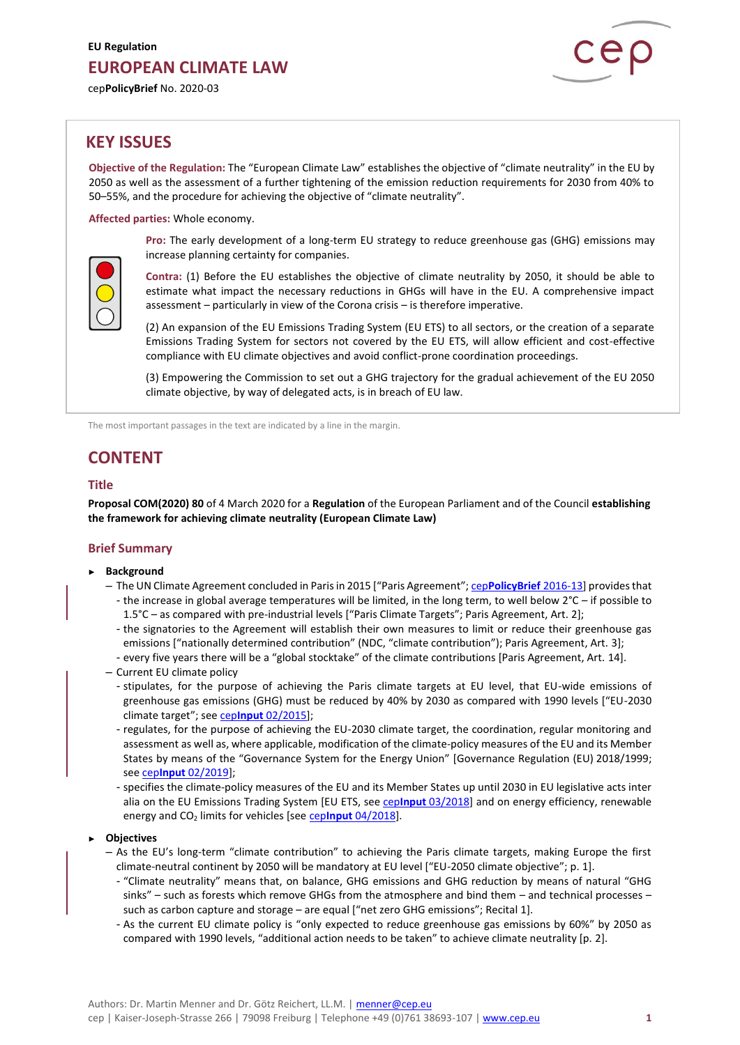cep**PolicyBrief** No. 2020-03



# **KEY ISSUES**

**Objective of the Regulation:** The "European Climate Law" establishes the objective of "climate neutrality" in the EU by 2050 as well as the assessment of a further tightening of the emission reduction requirements for 2030 from 40% to 50–55%, and the procedure for achieving the objective of "climate neutrality".

**Affected parties:** Whole economy.

**Pro:** The early development of a long-term EU strategy to reduce greenhouse gas (GHG) emissions may increase planning certainty for companies.



**Contra:** (1) Before the EU establishes the objective of climate neutrality by 2050, it should be able to estimate what impact the necessary reductions in GHGs will have in the EU. A comprehensive impact assessment – particularly in view of the Corona crisis – is therefore imperative.

(2) An expansion of the EU Emissions Trading System (EU ETS) to all sectors, or the creation of a separate Emissions Trading System for sectors not covered by the EU ETS, will allow efficient and cost-effective compliance with EU climate objectives and avoid conflict-prone coordination proceedings.

(3) Empowering the Commission to set out a GHG trajectory for the gradual achievement of the EU 2050 climate objective, by way of delegated acts, is in breach of EU law.

The most important passages in the text are indicated by a line in the margin.

# **CONTENT**

## **Title**

**Proposal COM(2020) 80** of 4 March 2020 for a **Regulation** of the European Parliament and of the Council **establishing the framework for achieving climate neutrality (European Climate Law)**

## **Brief Summary**

- ► **Background**
	- The UN Climate Agreement concluded in Paris in 2015 ["Paris Agreement"; cep**[PolicyBrief](https://www.cep.eu/en/eu-topics/details/cep/implementing-the-paris-agreement-on-climate-change-communication.html)** 2016-13] provides that - the increase in global average temperatures will be limited, in the long term, to well below 2°C – if possible to 1.5°C – as compared with pre-industrial levels ["Paris Climate Targets"; Paris Agreement, Art. 2];
		- the signatories to the Agreement will establish their own measures to limit or reduce their greenhouse gas emissions ["nationally determined contribution" (NDC, "climate contribution"); Paris Agreement, Art. 3];
		- every five years there will be a "global stocktake" of the climate contributions [Paris Agreement, Art. 14].
	- Current EU climate policy
		- stipulates, for the purpose of achieving the Paris climate targets at EU level, that EU-wide emissions of greenhouse gas emissions (GHG) must be reduced by 40% by 2030 as compared with 1990 levels ["EU-2030 climate target"; see cep**Input** [02/2015\]](https://www.cep.eu/en/eu-topics/details/cep/climate-and-energy-targets-2030.html);
		- regulates, for the purpose of achieving the EU-2030 climate target, the coordination, regular monitoring and assessment as well as, where applicable, modification of the climate-policy measures of the EU and its Member States by means of the "Governance System for the Energy Union" [Governance Regulation (EU) 2018/1999; see cep**Input** [02/2019\]](https://www.cep.eu/en/eu-topics/details/cep/governance-of-the-energy-union.html);
		- specifies the climate-policy measures of the EU and its Member States up until 2030 in EU legislative acts inter alia on the EU Emissions Trading System [EU ETS, see cep**Input** [03/2018\]](https://www.cep.eu/en/eu-topics/details/cep/climate-protection-by-way-of-the-eu-ets.html) and on energy efficiency, renewable energy and CO<sup>2</sup> limits for vehicles [see cep**Input** [04/2018\]](https://www.cep.eu/en/eu-topics/details/cep/climate-protection-outside-the-eu-ets.html).

#### ► **Objectives**

- As the EU's long-term "climate contribution" to achieving the Paris climate targets, making Europe the first climate-neutral continent by 2050 will be mandatory at EU level ["EU-2050 climate objective"; p. 1].
	- "Climate neutrality" means that, on balance, GHG emissions and GHG reduction by means of natural "GHG sinks" – such as forests which remove GHGs from the atmosphere and bind them – and technical processes – such as carbon capture and storage – are equal ["net zero GHG emissions"; Recital 1].
	- As the current EU climate policy is "only expected to reduce greenhouse gas emissions by 60%" by 2050 as compared with 1990 levels, "additional action needs to be taken" to achieve climate neutrality [p. 2].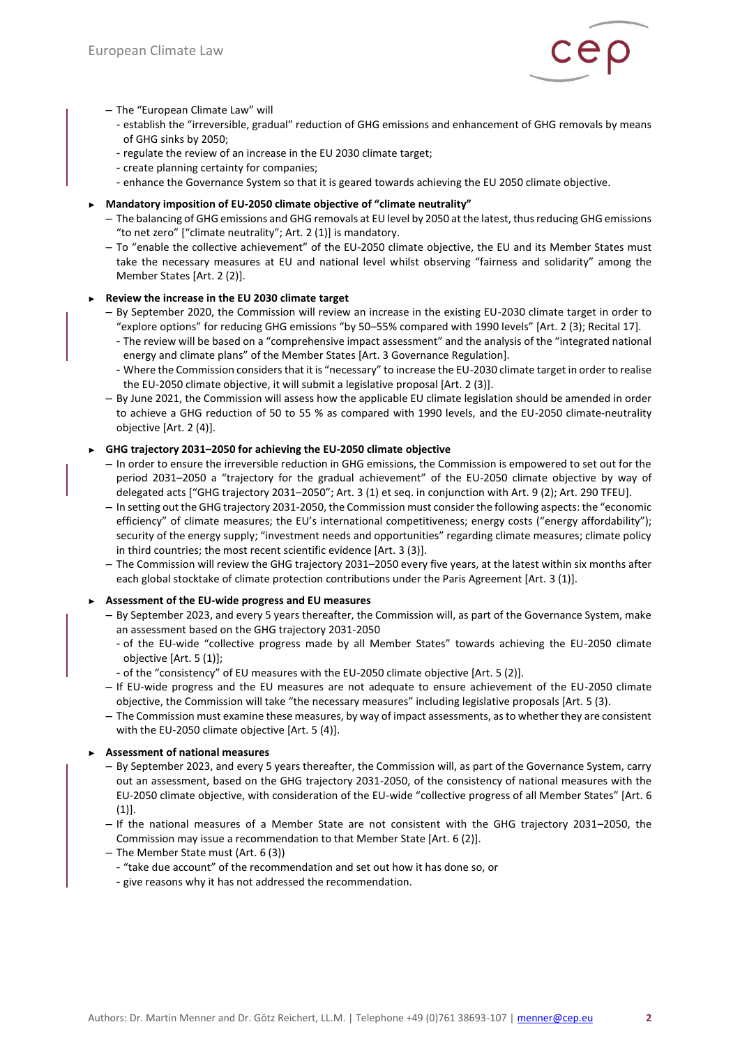

#### – The "European Climate Law" will

- establish the "irreversible, gradual" reduction of GHG emissions and enhancement of GHG removals by means of GHG sinks by 2050;
- regulate the review of an increase in the EU 2030 climate target;
- create planning certainty for companies;
- enhance the Governance System so that it is geared towards achieving the EU 2050 climate objective.

# ► **Mandatory imposition of EU-2050 climate objective of "climate neutrality"**

- The balancing of GHG emissions and GHG removals at EU level by 2050 at the latest, thus reducing GHG emissions "to net zero" ["climate neutrality"; Art. 2 (1)] is mandatory.
- To "enable the collective achievement" of the EU-2050 climate objective, the EU and its Member States must take the necessary measures at EU and national level whilst observing "fairness and solidarity" among the Member States [Art. 2 (2)].

# ► **Review the increase in the EU 2030 climate target**

- By September 2020, the Commission will review an increase in the existing EU-2030 climate target in order to "explore options" for reducing GHG emissions "by 50–55% compared with 1990 levels" [Art. 2 (3); Recital 17].
	- The review will be based on a "comprehensive impact assessment" and the analysis of the "integrated national energy and climate plans" of the Member States [Art. 3 Governance Regulation].
	- Where the Commission considers that it is "necessary" to increase the EU-2030 climate target in order to realise the EU-2050 climate objective, it will submit a legislative proposal [Art. 2 (3)].
- By June 2021, the Commission will assess how the applicable EU climate legislation should be amended in order to achieve a GHG reduction of 50 to 55 % as compared with 1990 levels, and the EU-2050 climate-neutrality objective [Art. 2 (4)].

# ► **GHG trajectory 2031–2050 for achieving the EU-2050 climate objective**

- In order to ensure the irreversible reduction in GHG emissions, the Commission is empowered to set out for the period 2031–2050 a "trajectory for the gradual achievement" of the EU-2050 climate objective by way of delegated acts ["GHG trajectory 2031–2050"; Art. 3 (1) et seq. in conjunction with Art. 9 (2); Art. 290 TFEU].
- In setting out the GHG trajectory 2031-2050, the Commission must consider the following aspects: the "economic efficiency" of climate measures; the EU's international competitiveness; energy costs ("energy affordability"); security of the energy supply; "investment needs and opportunities" regarding climate measures; climate policy in third countries; the most recent scientific evidence [Art. 3 (3)].
- The Commission will review the GHG trajectory 2031–2050 every five years, at the latest within six months after each global stocktake of climate protection contributions under the Paris Agreement [Art. 3 (1)].

## ► **Assessment of the EU-wide progress and EU measures**

- By September 2023, and every 5 years thereafter, the Commission will, as part of the Governance System, make an assessment based on the GHG trajectory 2031-2050
	- of the EU-wide "collective progress made by all Member States" towards achieving the EU-2050 climate objective [Art. 5 (1)];
- of the "consistency" of EU measures with the EU-2050 climate objective [Art. 5 (2)].
- If EU-wide progress and the EU measures are not adequate to ensure achievement of the EU-2050 climate objective, the Commission will take "the necessary measures" including legislative proposals [Art. 5 (3).
- The Commission must examine these measures, by way of impact assessments, as to whether they are consistent with the EU-2050 climate objective [Art. 5 (4)].

## ► **Assessment of national measures**

- By September 2023, and every 5 years thereafter, the Commission will, as part of the Governance System, carry out an assessment, based on the GHG trajectory 2031-2050, of the consistency of national measures with the EU-2050 climate objective, with consideration of the EU-wide "collective progress of all Member States" [Art. 6  $(1)$ ].
- If the national measures of a Member State are not consistent with the GHG trajectory 2031–2050, the Commission may issue a recommendation to that Member State [Art. 6 (2)].
- The Member State must (Art. 6 (3))
- "take due account" of the recommendation and set out how it has done so, or
- give reasons why it has not addressed the recommendation.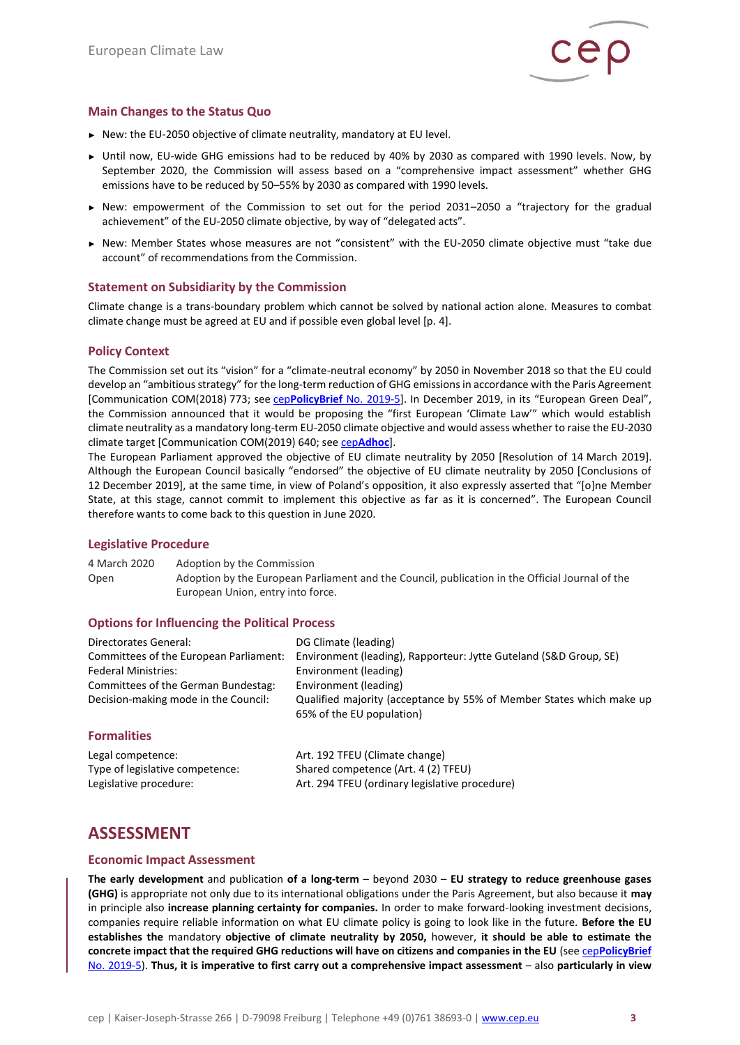

# **Main Changes to the Status Quo**

- ► New: the EU-2050 objective of climate neutrality, mandatory at EU level.
- ► Until now, EU-wide GHG emissions had to be reduced by 40% by 2030 as compared with 1990 levels. Now, by September 2020, the Commission will assess based on a "comprehensive impact assessment" whether GHG emissions have to be reduced by 50–55% by 2030 as compared with 1990 levels.
- ► New: empowerment of the Commission to set out for the period 2031–2050 a "trajectory for the gradual achievement" of the EU-2050 climate objective, by way of "delegated acts".
- ► New: Member States whose measures are not "consistent" with the EU-2050 climate objective must "take due account" of recommendations from the Commission.

## **Statement on Subsidiarity by the Commission**

Climate change is a trans-boundary problem which cannot be solved by national action alone. Measures to combat climate change must be agreed at EU and if possible even global level [p. 4].

## **Policy Context**

The Commission set out its "vision" for a "climate-neutral economy" by 2050 in November 2018 so that the EU could develop an "ambitious strategy" for the long-term reduction of GHG emissions in accordance with the Paris Agreement [Communication COM(2018) 773; see cep**PolicyBrief** [No. 2019-5](https://www.cep.eu/en/eu-topics/details/cep/climate-protection-vision-2050-communication.html)]. In December 2019, in its "European Green Deal", the Commission announced that it would be proposing the "first European 'Climate Law'" which would establish climate neutrality as a mandatory long-term EU-2050 climate objective and would assess whether to raise the EU-2030 climate target [Communication COM(2019) 640; see cep**[Adhoc](https://www.cep.eu/en/eu-topics/details/cep/arbeitsauftraege-von-der-leyens-an-die-neue-eu-kommission-teil-2-ein-europaeischer-gruener-deal.html)**].

The European Parliament approved the objective of EU climate neutrality by 2050 [Resolution of 14 March 2019]. Although the European Council basically "endorsed" the objective of EU climate neutrality by 2050 [Conclusions of 12 December 2019], at the same time, in view of Poland's opposition, it also expressly asserted that "[o]ne Member State, at this stage, cannot commit to implement this objective as far as it is concerned". The European Council therefore wants to come back to this question in June 2020.

#### **Legislative Procedure**

4 March 2020 Adoption by the Commission Open Adoption by the European Parliament and the Council, publication in the Official Journal of the European Union, entry into force.

## **Options for Influencing the Political Process**

| Directorates General:                  | DG Climate (leading)                                                 |
|----------------------------------------|----------------------------------------------------------------------|
| Committees of the European Parliament: | Environment (leading), Rapporteur: Jytte Guteland (S&D Group, SE)    |
| <b>Federal Ministries:</b>             | Environment (leading)                                                |
| Committees of the German Bundestag:    | Environment (leading)                                                |
| Decision-making mode in the Council:   | Qualified majority (acceptance by 55% of Member States which make up |
|                                        | 65% of the EU population)                                            |
| <b>Formalities</b>                     |                                                                      |
| Legal competence:                      | Art. 192 TFEU (Climate change)                                       |
| Type of legislative competence:        | Shared competence (Art. 4 (2) TFEU)                                  |
| Legislative procedure:                 | Art. 294 TFEU (ordinary legislative procedure)                       |

# **ASSESSMENT**

#### **Economic Impact Assessment**

**The early development** and publication **of a long-term** – beyond 2030 – **EU strategy to reduce greenhouse gases (GHG)** is appropriate not only due to its international obligations under the Paris Agreement, but also because it **may** in principle also **increase planning certainty for companies.** In order to make forward-looking investment decisions, companies require reliable information on what EU climate policy is going to look like in the future. **Before the EU establishes the** mandatory **objective of climate neutrality by 2050,** however, **it should be able to estimate the concrete impact that the required GHG reductions will have on citizens and companies in the EU** (see cep**[PolicyBrief](https://www.cep.eu/en/eu-topics/details/cep/climate-protection-vision-2050-communication.html)** [No. 2019-5\)](https://www.cep.eu/en/eu-topics/details/cep/climate-protection-vision-2050-communication.html). **Thus, it is imperative to first carry out a comprehensive impact assessment** – also **particularly in view**